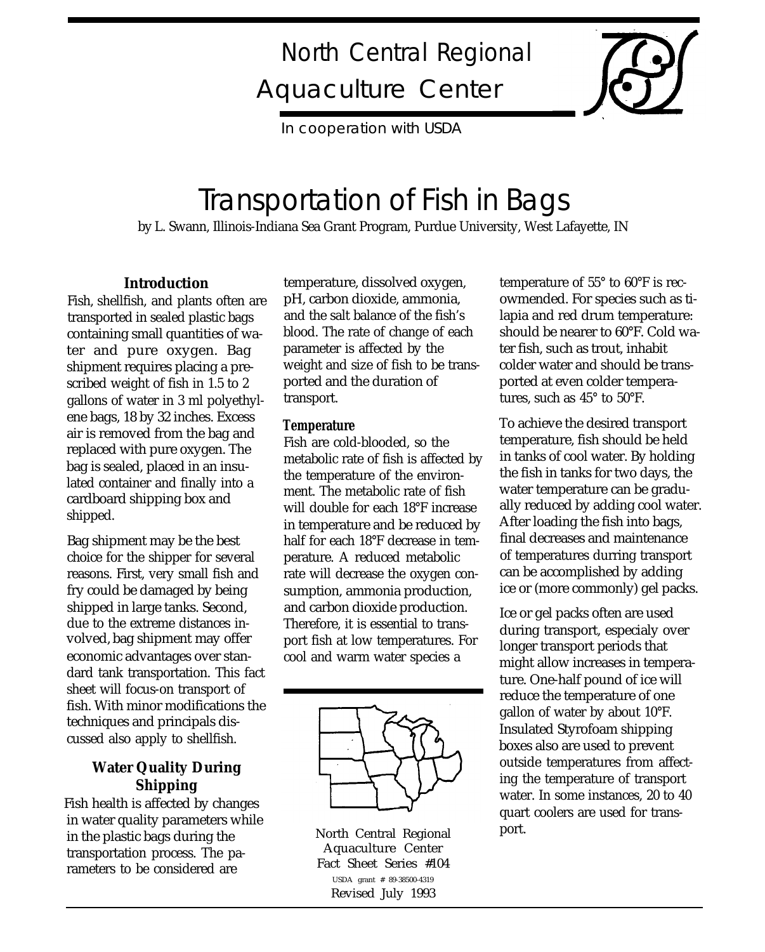## North Central Regional Aquaculture Center

In cooperation with USDA

# Transportation of Fish in Bags

by L. Swann, Illinois-Indiana Sea Grant Program, Purdue University, West Lafayette, IN

#### **Introduction**

Fish, shellfish, and plants often are transported in sealed plastic bags containing small quantities of water and pure oxygen. Bag shipment requires placing a prescribed weight of fish in 1.5 to 2 gallons of water in 3 ml polyethylene bags, 18 by 32 inches. Excess air is removed from the bag and replaced with pure oxygen. The bag is sealed, placed in an insulated container and finally into a cardboard shipping box and shipped.

Bag shipment may be the best choice for the shipper for several reasons. First, very small fish and fry could be damaged by being shipped in large tanks. Second, due to the extreme distances involved, bag shipment may offer economic advantages over standard tank transportation. This fact sheet will focus-on transport of fish. With minor modifications the techniques and principals discussed also apply to shellfish.

## **Water Quality During Shipping**

Fish health is affected by changes in water quality parameters while in the plastic bags during the transportation process. The parameters to be considered are

temperature, dissolved oxygen, pH, carbon dioxide, ammonia, and the salt balance of the fish's blood. The rate of change of each parameter is affected by the weight and size of fish to be transported and the duration of transport.

#### **Temperature**

Fish are cold-blooded, so the metabolic rate of fish is affected by the temperature of the environment. The metabolic rate of fish will double for each 18°F increase in temperature and be reduced by half for each 18°F decrease in temperature. A reduced metabolic rate will decrease the oxygen consumption, ammonia production, and carbon dioxide production. Therefore, it is essential to transport fish at low temperatures. For cool and warm water species a



North Central Regional Aquaculture Center Fact Sheet Series #104 USDA grant # 89-38500-4319 Revised July 1993

temperature of 55° to 60°F is recowmended. For species such as tilapia and red drum temperature: should be nearer to 60°F. Cold water fish, such as trout, inhabit colder water and should be transported at even colder temperatures, such as 45° to 50°F.

To achieve the desired transport temperature, fish should be held in tanks of cool water. By holding the fish in tanks for two days, the water temperature can be gradually reduced by adding cool water. After loading the fish into bags, final decreases and maintenance of temperatures durring transport can be accomplished by adding ice or (more commonly) gel packs.

Ice or gel packs often are used during transport, especialy over longer transport periods that might allow increases in temperature. One-half pound of ice will reduce the temperature of one gallon of water by about 10°F. Insulated Styrofoam shipping boxes also are used to prevent outside temperatures from affecting the temperature of transport water. In some instances, 20 to 40 quart coolers are used for transport.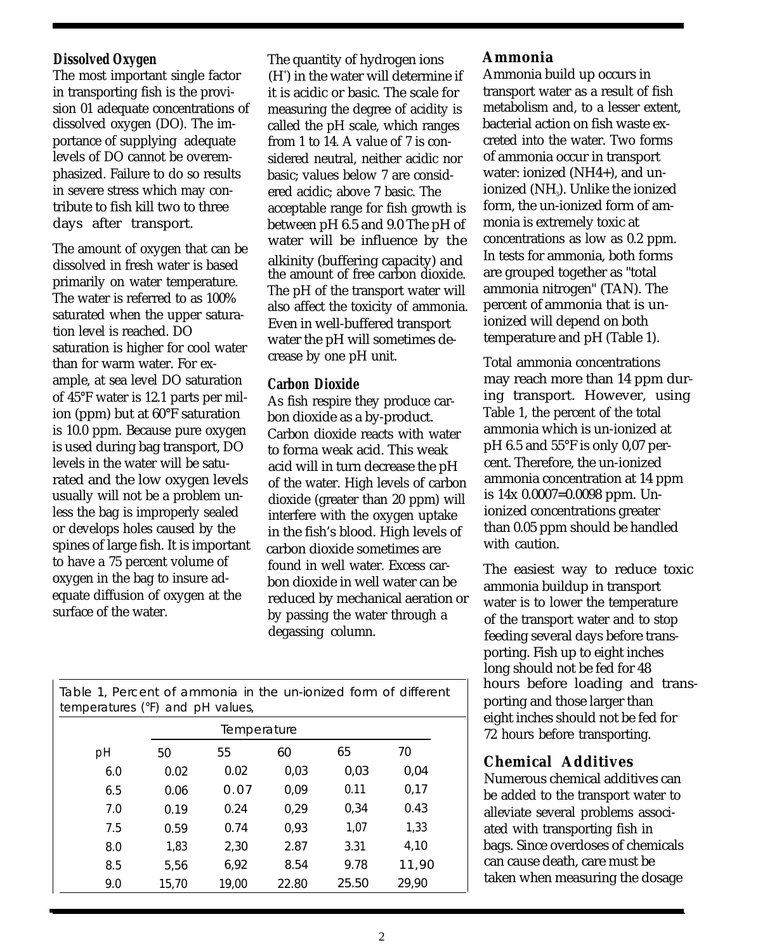### **Dissolved Oxygen**

The most important single factor in transporting fish is the provision 01 adequate concentrations of dissolved oxygen (DO). The importance of supplying adequate levels of DO cannot be overemphasized. Failure to do so results in severe stress which may contribute to fish kill two to three days after transport.

The amount of oxygen that can be dissolved in fresh water is based primarily on water temperature. The water is referred to as 100% saturated when the upper saturation level is reached. DO saturation is higher for cool water than for warm water. For example, at sea level DO saturation of 45°F water is 12.1 parts per milion (ppm) but at 60°F saturation is 10.0 ppm. Because pure oxygen is used during bag transport, DO levels in the water will be saturated and the low oxygen levels usually will not be a problem unless the bag is improperly sealed or develops holes caused by the spines of large fish. It is important to have a 75 percent volume of oxygen in the bag to insure adequate diffusion of oxygen at the surface of the water.

The quantity of hydrogen ions  $(H<sup>*</sup>)$  in the water will determine if it is acidic or basic. The scale for measuring the degree of acidity is called the pH scale, which ranges from 1 to 14. A value of 7 is considered neutral, neither acidic nor basic; values below 7 are considered acidic; above 7 basic. The acceptable range for fish growth is between pH 6.5 and 9.0 The pH of water will be influence by the alkinity (buffering capacity) and the amount of free carbon dioxide. The pH of the transport water will also affect the toxicity of ammonia. Even in well-buffered transport water the pH will sometimes decrease by one pH unit.

#### **Carbon Dioxide**

As fish respire they produce carbon dioxide as a by-product. Carbon dioxide reacts with water to forma weak acid. This weak acid will in turn decrease the pH of the water. High levels of carbon dioxide (greater than 20 ppm) will interfere with the oxygen uptake in the fish's blood. High levels of carbon dioxide sometimes are found in well water. Excess carbon dioxide in well water can be reduced by mechanical aeration or by passing the water through a degassing column.

#### **Ammonia**

Ammonia build up occurs in transport water as a result of fish metabolism and, to a lesser extent, bacterial action on fish waste excreted into the water. Two forms of ammonia occur in transport water: ionized (NH4+), and unionized ( $NH<sub>3</sub>$ ). Unlike the ionized form, the un-ionized form of ammonia is extremely toxic at concentrations as low as 0.2 ppm. In tests for ammonia, both forms are grouped together as "total ammonia nitrogen" (TAN). The percent of ammonia that is unionized will depend on both temperature and pH (Table 1).

Total ammonia concentrations may reach more than 14 ppm during transport. However, using Table 1, the percent of the total ammonia which is un-ionized at pH 6.5 and 55°F is only 0,07 percent. Therefore, the un-ionized ammonia concentration at 14 ppm is 14x 0.0007=0.0098 ppm. Unionized concentrations greater than 0.05 ppm should be handled with caution.

The easiest way to reduce toxic ammonia buildup in transport water is to lower the temperature of the transport water and to stop feeding several days before transporting. Fish up to eight inches long should not be fed for 48 hours before loading and transporting and those larger than eight inches should not be fed for 72 hours before transporting.

## **Chemical Additives**

Numerous chemical additives can be added to the transport water to alleviate several problems associated with transporting fish in bags. Since overdoses of chemicals can cause death, care must be taken when measuring the dosage

| Table 1, Percent of ammonia in the un-ionized form of different |  |  |
|-----------------------------------------------------------------|--|--|
| temperatures (°F) and pH values,                                |  |  |

|     |       | Temperature |       |       |       |
|-----|-------|-------------|-------|-------|-------|
| рH  | 50    | 55          | 60    | 65    | 70    |
| 6.0 | 0.02  | 0.02        | 0,03  | 0,03  | 0,04  |
| 6.5 | 0.06  | 0.07        | 0,09  | 0.11  | 0,17  |
| 7.0 | 0.19  | 0.24        | 0,29  | 0,34  | 0.43  |
| 7.5 | 0.59  | 0.74        | 0,93  | 1,07  | 1,33  |
| 8.0 | 1,83  | 2,30        | 2.87  | 3.31  | 4,10  |
| 8.5 | 5,56  | 6,92        | 8.54  | 9.78  | 11,90 |
| 9.0 | 15,70 | 19,00       | 22.80 | 25.50 | 29,90 |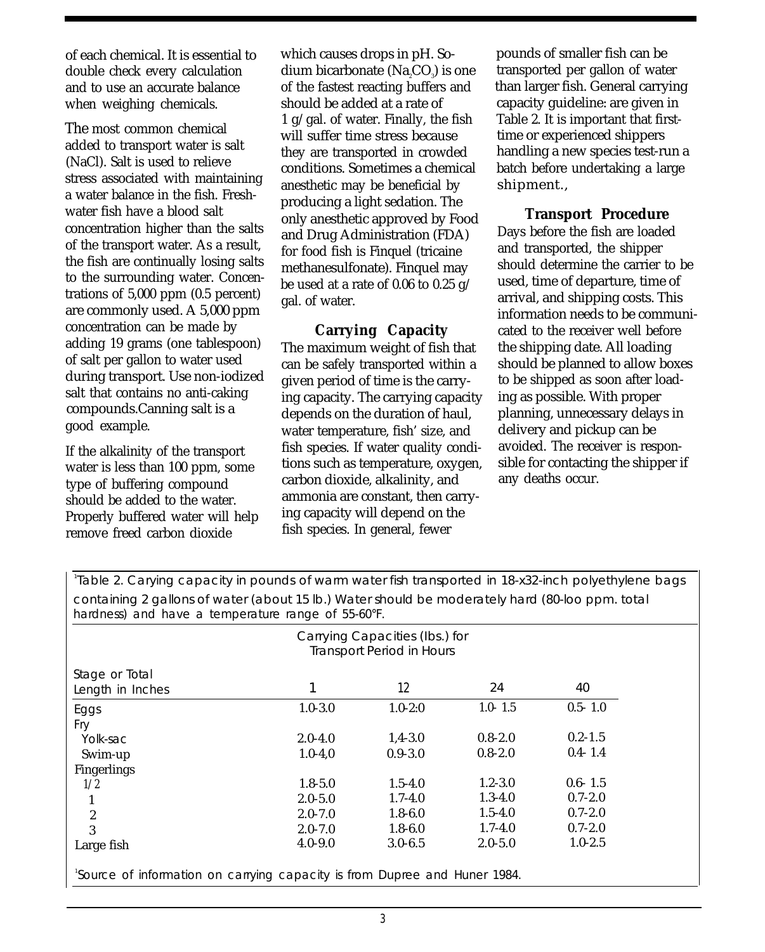of each chemical. It is essential to double check every calculation and to use an accurate balance when weighing chemicals.

The most common chemical added to transport water is salt (NaCl). Salt is used to relieve stress associated with maintaining a water balance in the fish. Freshwater fish have a blood salt concentration higher than the salts of the transport water. As a result, the fish are continually losing salts to the surrounding water. Concentrations of 5,000 ppm (0.5 percent) are commonly used. A 5,000 ppm concentration can be made by adding 19 grams (one tablespoon) of salt per gallon to water used during transport. Use non-iodized salt that contains no anti-caking compounds.Canning salt is a good example.

If the alkalinity of the transport water is less than 100 ppm, some type of buffering compound should be added to the water. Properly buffered water will help remove freed carbon dioxide

which causes drops in pH. Sodium bicarbonate ( $\rm Na_{2}CO_{3}$ ) is one of the fastest reacting buffers and should be added at a rate of 1 g/gal. of water. Finally, the fish will suffer time stress because they are transported in crowded conditions. Sometimes a chemical anesthetic may be beneficial by producing a light sedation. The only anesthetic approved by Food and Drug Administration (FDA) for food fish is Finquel (tricaine methanesulfonate). Finquel may be used at a rate of 0.06 to 0.25 g/ gal. of water.

#### **Carrying Capacity**

The maximum weight of fish that can be safely transported within a given period of time is the carrying capacity. The carrying capacity depends on the duration of haul, water temperature, fish' size, and fish species. If water quality conditions such as temperature, oxygen, carbon dioxide, alkalinity, and ammonia are constant, then carrying capacity will depend on the fish species. In general, fewer

pounds of smaller fish can be transported per gallon of water than larger fish. General carrying capacity guideline: are given in Table 2. It is important that firsttime or experienced shippers handling a new species test-run a batch before undertaking a large shipment.,

#### **Transport Procedure**

Days before the fish are loaded and transported, the shipper should determine the carrier to be used, time of departure, time of arrival, and shipping costs. This information needs to be communicated to the receiver well before the shipping date. All loading should be planned to allow boxes to be shipped as soon after loading as possible. With proper planning, unnecessary delays in delivery and pickup can be avoided. The receiver is responsible for contacting the shipper if any deaths occur.

1 Table 2. Carying capacity in pounds of warm water fish transported in 18-x32-inch polyethylene bags containing 2 gallons of water (about 15 lb.) Water should be moderately hard (80-loo ppm. total hardness) and have a temperature range of 55-60°F.

|                                    |             | <b>Carrying Capacities (Ibs.) for</b><br><b>Transport Period in Hours</b> |             |             |  |
|------------------------------------|-------------|---------------------------------------------------------------------------|-------------|-------------|--|
| Stage or Total<br>Length in Inches |             | 12                                                                        | 24          | 40          |  |
| Eggs                               | $1.0 - 3.0$ | $1.0 - 2:0$                                                               | $1.0 - 1.5$ | $0.5 - 1.0$ |  |
| Fry                                |             |                                                                           |             |             |  |
| Yolk-sac                           | $2.0 - 4.0$ | $1,4-3.0$                                                                 | $0.8 - 2.0$ | $0.2 - 1.5$ |  |
| Swim-up                            | $1.0 - 4.0$ | $0.9 - 3.0$                                                               | $0.8 - 2.0$ | $0.4 - 1.4$ |  |
| Fingerlings                        |             |                                                                           |             |             |  |
| 1/2                                | $1.8 - 5.0$ | $1.5 - 4.0$                                                               | $1.2 - 3.0$ | $0.6 - 1.5$ |  |
| 1                                  | $2.0 - 5.0$ | $1.7 - 4.0$                                                               | $1.3 - 4.0$ | $0.7 - 2.0$ |  |
| $\sqrt{2}$                         | $2.0 - 7.0$ | $1.8 - 6.0$                                                               | $1.5 - 4.0$ | $0.7 - 2.0$ |  |
| 3                                  | $2.0 - 7.0$ | $1.8 - 6.0$                                                               | $1.7 - 4.0$ | $0.7 - 2.0$ |  |
| Large fish                         | $4.0 - 9.0$ | $3.0 - 6.5$                                                               | $2.0 - 5.0$ | $1.0 - 2.5$ |  |